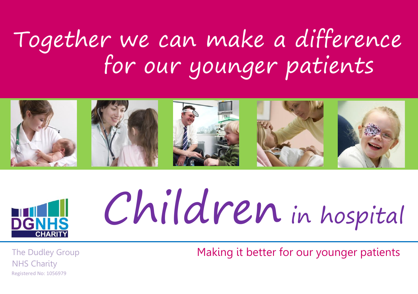### Together we can make a difference for our younger patients





# Children in hospital

The Dudley Group NHS Charity Registered No: 1056979

Making it better for our younger patients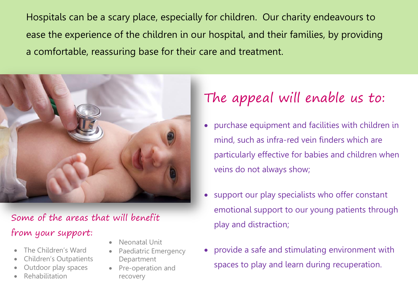Hospitals can be a scary place, especially for children. Our charity endeavours to ease the experience of the children in our hospital, and their families, by providing a comfortable, reassuring base for their care and treatment.



#### Some of the areas that will benefit from your support:

- The Children's Ward
- Children's Outpatients
- Outdoor play spaces
- Rehabilitation
- Neonatal Unit
- Paediatric Emergency Department
- Pre-operation and recovery

#### The appeal will enable us to:

- purchase equipment and facilities with children in mind, such as infra-red vein finders which are particularly effective for babies and children when veins do not always show;
- support our play specialists who offer constant emotional support to our young patients through play and distraction;
- provide a safe and stimulating environment with spaces to play and learn during recuperation.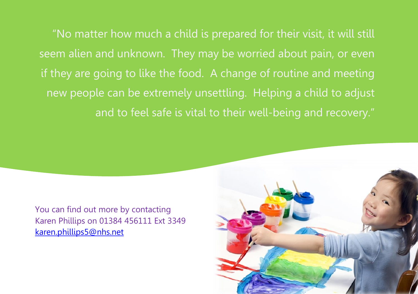"No matter how much a child is prepared for their visit, it will still seem alien and unknown. They may be worried about pain, or even if they are going to like the food. A change of routine and meeting new people can be extremely unsettling. Helping a child to adjust and to feel safe is vital to their well-being and recovery."

You can find out more by contacting Karen Phillips on 01384 456111 Ext 3349 [karen.phillips5@nhs.net](mailto:karen.phillips5@nhs.net)

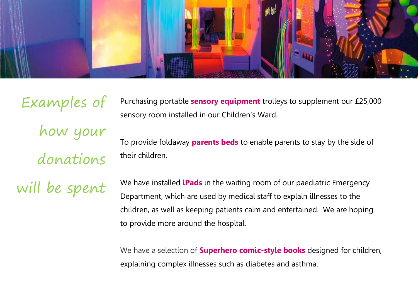

Purchasing portable **sensory equipment** trolleys to supplement our £25,000 sensory room installed in our Children's Ward. To provide foldaway **parents beds** to enable parents to stay by the side of their children. Examples of how your donations will be spent

We have installed **iPads** in the waiting room of our paediatric Emergency Department, which are used by medical staff to explain illnesses to the children, as well as keeping patients calm and entertained. We are hoping to provide more around the hospital.

We have a selection of **Superhero comic-style books** designed for children, explaining complex illnesses such as diabetes and asthma.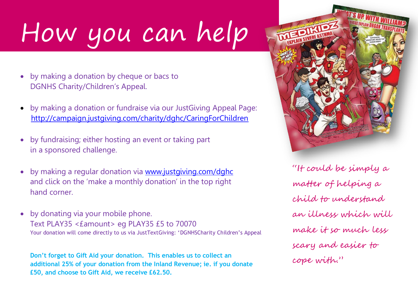### How you can help

- by making a donation by cheque or bacs to DGNHS Charity/Children's Appeal.
- by making a donation or fundraise via our JustGiving Appeal Page: <http://campaign.justgiving.com/charity/dghc/CaringForChildren>
- by fundraising; either hosting an event or taking part in a sponsored challenge.
- by making a regular donation via [www.justgiving.com/dghc](http://www.justgiving.com/dghc)  and click on the 'make a monthly donation' in the top right hand corner.
- by donating via your mobile phone. Text PLAY35 <£amount> eg PLAY35 £5 to 70070 Your donation will come directly to us via JustTextGiving: 'DGNHSCharity Children's Appeal

**Don't forget to Gift Aid your donation. This enables us to collect an additional 25% of your donation from the Inland Revenue; ie. if you donate £50, and choose to Gift Aid, we receive £62.50.**



"It could be simply a matter of helping a child to understand an illness which will make it so much less scary and easier to cope with."